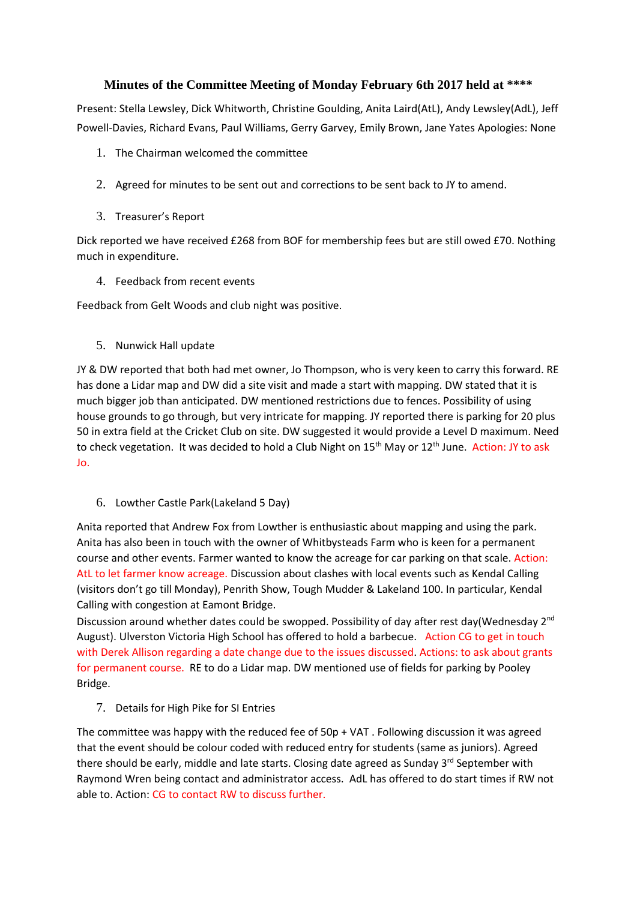## **Minutes of the Committee Meeting of Monday February 6th 2017 held at \*\*\*\***

Present: Stella Lewsley, Dick Whitworth, Christine Goulding, Anita Laird(AtL), Andy Lewsley(AdL), Jeff Powell-Davies, Richard Evans, Paul Williams, Gerry Garvey, Emily Brown, Jane Yates Apologies: None

- 1. The Chairman welcomed the committee
- 2. Agreed for minutes to be sent out and corrections to be sent back to JY to amend.
- 3. Treasurer's Report

Dick reported we have received £268 from BOF for membership fees but are still owed £70. Nothing much in expenditure.

4. Feedback from recent events

Feedback from Gelt Woods and club night was positive.

5. Nunwick Hall update

JY & DW reported that both had met owner, Jo Thompson, who is very keen to carry this forward. RE has done a Lidar map and DW did a site visit and made a start with mapping. DW stated that it is much bigger job than anticipated. DW mentioned restrictions due to fences. Possibility of using house grounds to go through, but very intricate for mapping. JY reported there is parking for 20 plus 50 in extra field at the Cricket Club on site. DW suggested it would provide a Level D maximum. Need to check vegetation. It was decided to hold a Club Night on 15<sup>th</sup> May or 12<sup>th</sup> June. Action: JY to ask Jo.

6. Lowther Castle Park(Lakeland 5 Day)

Anita reported that Andrew Fox from Lowther is enthusiastic about mapping and using the park. Anita has also been in touch with the owner of Whitbysteads Farm who is keen for a permanent course and other events. Farmer wanted to know the acreage for car parking on that scale. Action: AtL to let farmer know acreage. Discussion about clashes with local events such as Kendal Calling (visitors don't go till Monday), Penrith Show, Tough Mudder & Lakeland 100. In particular, Kendal Calling with congestion at Eamont Bridge.

Discussion around whether dates could be swopped. Possibility of day after rest day(Wednesday 2<sup>nd</sup> August). Ulverston Victoria High School has offered to hold a barbecue. Action CG to get in touch with Derek Allison regarding a date change due to the issues discussed. Actions: to ask about grants for permanent course. RE to do a Lidar map. DW mentioned use of fields for parking by Pooley Bridge.

7. Details for High Pike for SI Entries

The committee was happy with the reduced fee of 50p + VAT . Following discussion it was agreed that the event should be colour coded with reduced entry for students (same as juniors). Agreed there should be early, middle and late starts. Closing date agreed as Sunday 3<sup>rd</sup> September with Raymond Wren being contact and administrator access. AdL has offered to do start times if RW not able to. Action: CG to contact RW to discuss further.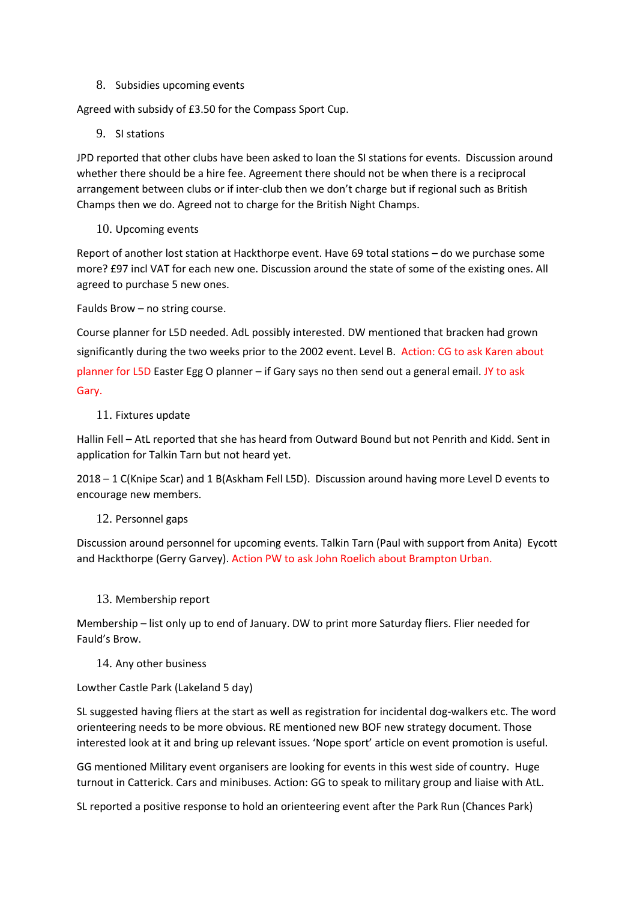8. Subsidies upcoming events

Agreed with subsidy of £3.50 for the Compass Sport Cup.

9. SI stations

JPD reported that other clubs have been asked to loan the SI stations for events. Discussion around whether there should be a hire fee. Agreement there should not be when there is a reciprocal arrangement between clubs or if inter-club then we don't charge but if regional such as British Champs then we do. Agreed not to charge for the British Night Champs.

10. Upcoming events

Report of another lost station at Hackthorpe event. Have 69 total stations – do we purchase some more? £97 incl VAT for each new one. Discussion around the state of some of the existing ones. All agreed to purchase 5 new ones.

Faulds Brow – no string course.

Course planner for L5D needed. AdL possibly interested. DW mentioned that bracken had grown significantly during the two weeks prior to the 2002 event. Level B. Action: CG to ask Karen about planner for L5D Easter Egg O planner – if Gary says no then send out a general email. JY to ask Gary.

11. Fixtures update

Hallin Fell – AtL reported that she has heard from Outward Bound but not Penrith and Kidd. Sent in application for Talkin Tarn but not heard yet.

2018 – 1 C(Knipe Scar) and 1 B(Askham Fell L5D). Discussion around having more Level D events to encourage new members.

12. Personnel gaps

Discussion around personnel for upcoming events. Talkin Tarn (Paul with support from Anita) Eycott and Hackthorpe (Gerry Garvey). Action PW to ask John Roelich about Brampton Urban.

13. Membership report

Membership – list only up to end of January. DW to print more Saturday fliers. Flier needed for Fauld's Brow.

#### 14. Any other business

## Lowther Castle Park (Lakeland 5 day)

SL suggested having fliers at the start as well as registration for incidental dog-walkers etc. The word orienteering needs to be more obvious. RE mentioned new BOF new strategy document. Those interested look at it and bring up relevant issues. 'Nope sport' article on event promotion is useful.

GG mentioned Military event organisers are looking for events in this west side of country. Huge turnout in Catterick. Cars and minibuses. Action: GG to speak to military group and liaise with AtL.

SL reported a positive response to hold an orienteering event after the Park Run (Chances Park)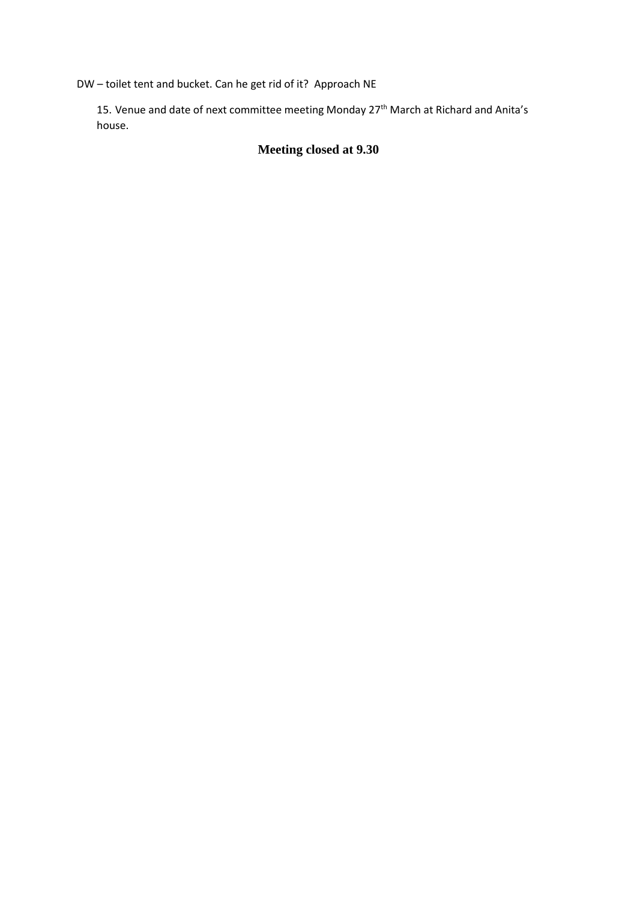DW – toilet tent and bucket. Can he get rid of it? Approach NE

15. Venue and date of next committee meeting Monday 27<sup>th</sup> March at Richard and Anita's house.

# **Meeting closed at 9.30**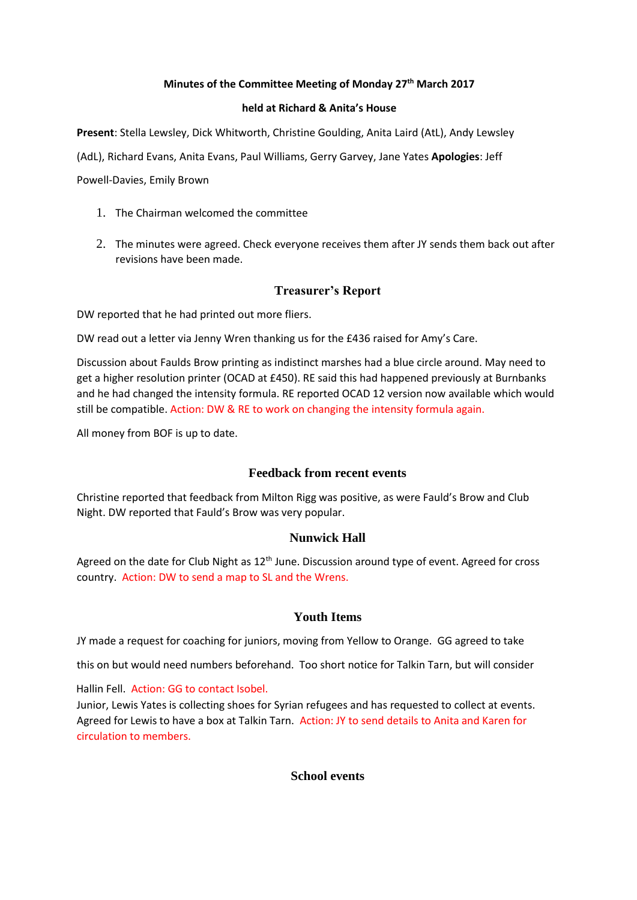#### **Minutes of the Committee Meeting of Monday 27th March 2017**

#### **held at Richard & Anita's House**

**Present**: Stella Lewsley, Dick Whitworth, Christine Goulding, Anita Laird (AtL), Andy Lewsley

(AdL), Richard Evans, Anita Evans, Paul Williams, Gerry Garvey, Jane Yates **Apologies**: Jeff

Powell-Davies, Emily Brown

- 1. The Chairman welcomed the committee
- 2. The minutes were agreed. Check everyone receives them after JY sends them back out after revisions have been made.

## **Treasurer's Report**

DW reported that he had printed out more fliers.

DW read out a letter via Jenny Wren thanking us for the £436 raised for Amy's Care.

Discussion about Faulds Brow printing as indistinct marshes had a blue circle around. May need to get a higher resolution printer (OCAD at £450). RE said this had happened previously at Burnbanks and he had changed the intensity formula. RE reported OCAD 12 version now available which would still be compatible. Action: DW & RE to work on changing the intensity formula again.

All money from BOF is up to date.

## **Feedback from recent events**

Christine reported that feedback from Milton Rigg was positive, as were Fauld's Brow and Club Night. DW reported that Fauld's Brow was very popular.

## **Nunwick Hall**

Agreed on the date for Club Night as  $12<sup>th</sup>$  June. Discussion around type of event. Agreed for cross country. Action: DW to send a map to SL and the Wrens.

## **Youth Items**

JY made a request for coaching for juniors, moving from Yellow to Orange. GG agreed to take

this on but would need numbers beforehand. Too short notice for Talkin Tarn, but will consider

Hallin Fell. Action: GG to contact Isobel.

Junior, Lewis Yates is collecting shoes for Syrian refugees and has requested to collect at events. Agreed for Lewis to have a box at Talkin Tarn. Action: JY to send details to Anita and Karen for circulation to members.

## **School events**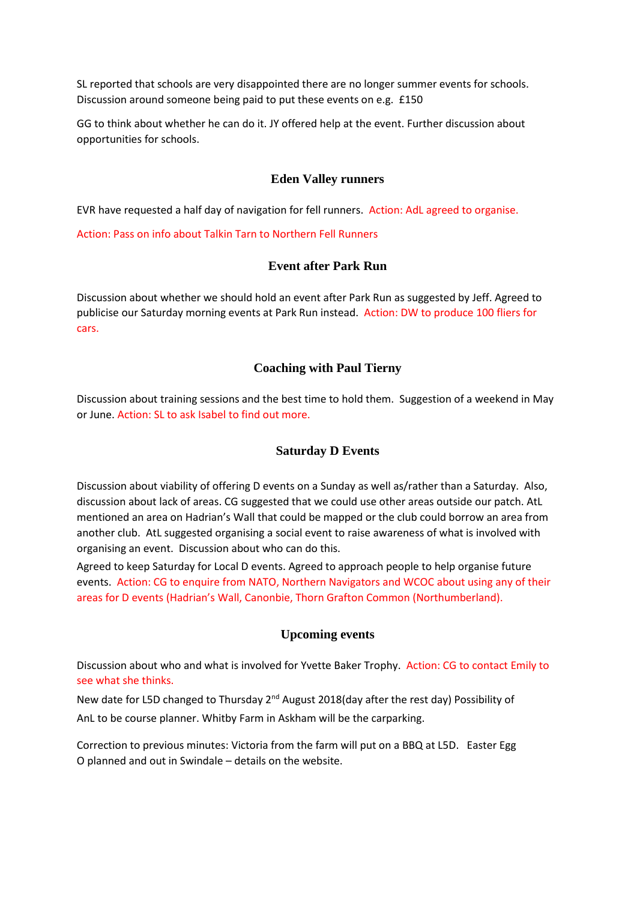SL reported that schools are very disappointed there are no longer summer events for schools. Discussion around someone being paid to put these events on e.g. £150

GG to think about whether he can do it. JY offered help at the event. Further discussion about opportunities for schools.

## **Eden Valley runners**

EVR have requested a half day of navigation for fell runners. Action: AdL agreed to organise.

Action: Pass on info about Talkin Tarn to Northern Fell Runners

## **Event after Park Run**

Discussion about whether we should hold an event after Park Run as suggested by Jeff. Agreed to publicise our Saturday morning events at Park Run instead. Action: DW to produce 100 fliers for cars.

## **Coaching with Paul Tierny**

Discussion about training sessions and the best time to hold them. Suggestion of a weekend in May or June. Action: SL to ask Isabel to find out more.

#### **Saturday D Events**

Discussion about viability of offering D events on a Sunday as well as/rather than a Saturday. Also, discussion about lack of areas. CG suggested that we could use other areas outside our patch. AtL mentioned an area on Hadrian's Wall that could be mapped or the club could borrow an area from another club. AtL suggested organising a social event to raise awareness of what is involved with organising an event. Discussion about who can do this.

Agreed to keep Saturday for Local D events. Agreed to approach people to help organise future events. Action: CG to enquire from NATO, Northern Navigators and WCOC about using any of their areas for D events (Hadrian's Wall, Canonbie, Thorn Grafton Common (Northumberland).

## **Upcoming events**

Discussion about who and what is involved for Yvette Baker Trophy. Action: CG to contact Emily to see what she thinks.

New date for L5D changed to Thursday 2<sup>nd</sup> August 2018(day after the rest day) Possibility of AnL to be course planner. Whitby Farm in Askham will be the carparking.

Correction to previous minutes: Victoria from the farm will put on a BBQ at L5D. Easter Egg O planned and out in Swindale – details on the website.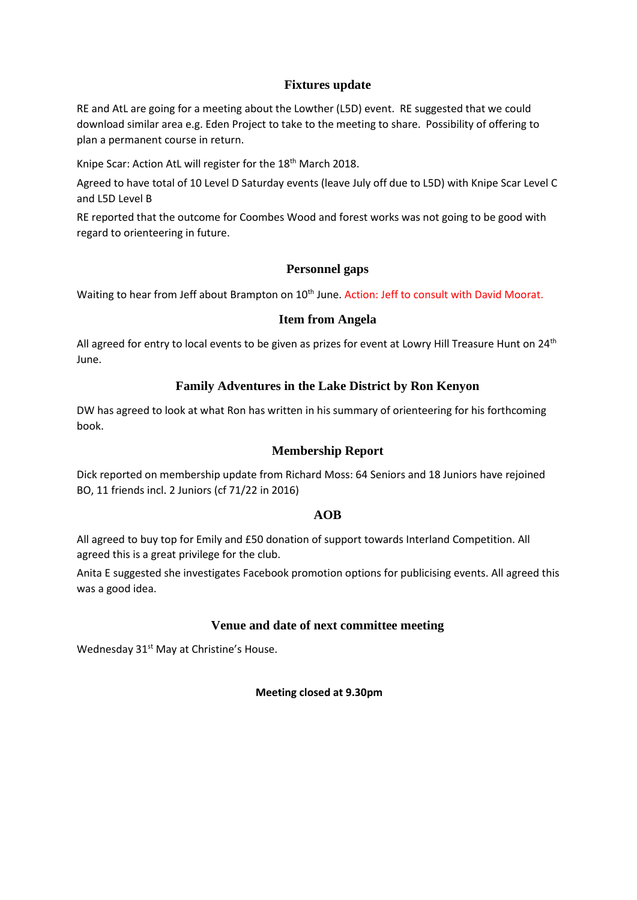## **Fixtures update**

RE and AtL are going for a meeting about the Lowther (L5D) event. RE suggested that we could download similar area e.g. Eden Project to take to the meeting to share. Possibility of offering to plan a permanent course in return.

Knipe Scar: Action AtL will register for the 18th March 2018.

Agreed to have total of 10 Level D Saturday events (leave July off due to L5D) with Knipe Scar Level C and L5D Level B

RE reported that the outcome for Coombes Wood and forest works was not going to be good with regard to orienteering in future.

## **Personnel gaps**

Waiting to hear from Jeff about Brampton on 10<sup>th</sup> June. Action: Jeff to consult with David Moorat.

#### **Item from Angela**

All agreed for entry to local events to be given as prizes for event at Lowry Hill Treasure Hunt on 24<sup>th</sup> June.

## **Family Adventures in the Lake District by Ron Kenyon**

DW has agreed to look at what Ron has written in his summary of orienteering for his forthcoming book.

## **Membership Report**

Dick reported on membership update from Richard Moss: 64 Seniors and 18 Juniors have rejoined BO, 11 friends incl. 2 Juniors (cf 71/22 in 2016)

## **AOB**

All agreed to buy top for Emily and £50 donation of support towards Interland Competition. All agreed this is a great privilege for the club.

Anita E suggested she investigates Facebook promotion options for publicising events. All agreed this was a good idea.

## **Venue and date of next committee meeting**

Wednesday 31<sup>st</sup> May at Christine's House.

**Meeting closed at 9.30pm**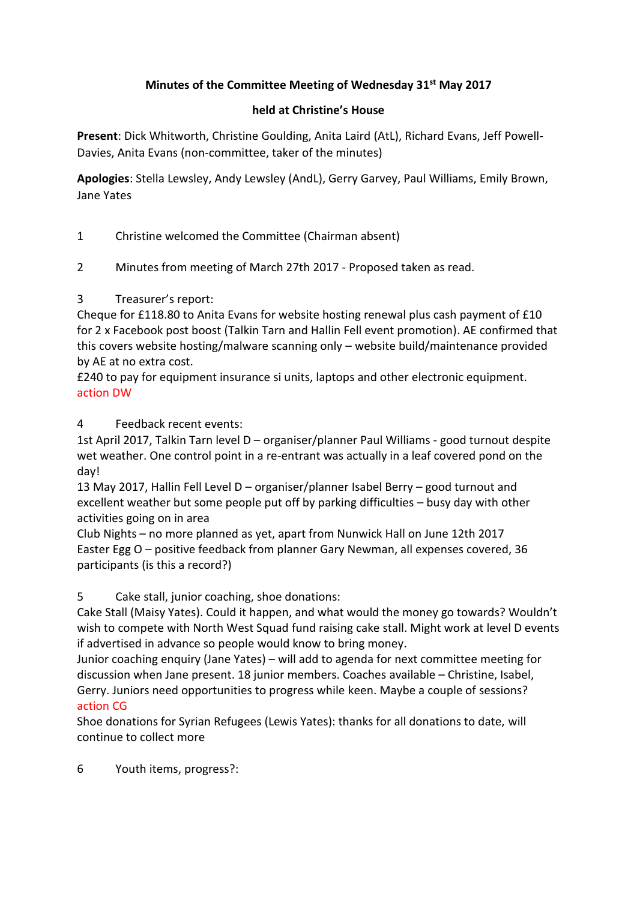# **Minutes of the Committee Meeting of Wednesday 31st May 2017**

# **held at Christine's House**

**Present**: Dick Whitworth, Christine Goulding, Anita Laird (AtL), Richard Evans, Jeff Powell-Davies, Anita Evans (non-committee, taker of the minutes)

**Apologies**: Stella Lewsley, Andy Lewsley (AndL), Gerry Garvey, Paul Williams, Emily Brown, Jane Yates

1 Christine welcomed the Committee (Chairman absent)

2 Minutes from meeting of March 27th 2017 - Proposed taken as read.

# 3 Treasurer's report:

Cheque for £118.80 to Anita Evans for website hosting renewal plus cash payment of £10 for 2 x Facebook post boost (Talkin Tarn and Hallin Fell event promotion). AE confirmed that this covers website hosting/malware scanning only – website build/maintenance provided by AE at no extra cost.

£240 to pay for equipment insurance si units, laptops and other electronic equipment. action DW

4 Feedback recent events:

1st April 2017, Talkin Tarn level D – organiser/planner Paul Williams - good turnout despite wet weather. One control point in a re-entrant was actually in a leaf covered pond on the day!

13 May 2017, Hallin Fell Level D – organiser/planner Isabel Berry – good turnout and excellent weather but some people put off by parking difficulties – busy day with other activities going on in area

Club Nights – no more planned as yet, apart from Nunwick Hall on June 12th 2017 Easter Egg O – positive feedback from planner Gary Newman, all expenses covered, 36 participants (is this a record?)

5 Cake stall, junior coaching, shoe donations:

Cake Stall (Maisy Yates). Could it happen, and what would the money go towards? Wouldn't wish to compete with North West Squad fund raising cake stall. Might work at level D events if advertised in advance so people would know to bring money.

Junior coaching enquiry (Jane Yates) – will add to agenda for next committee meeting for discussion when Jane present. 18 junior members. Coaches available – Christine, Isabel, Gerry. Juniors need opportunities to progress while keen. Maybe a couple of sessions? action CG

Shoe donations for Syrian Refugees (Lewis Yates): thanks for all donations to date, will continue to collect more

6 Youth items, progress?: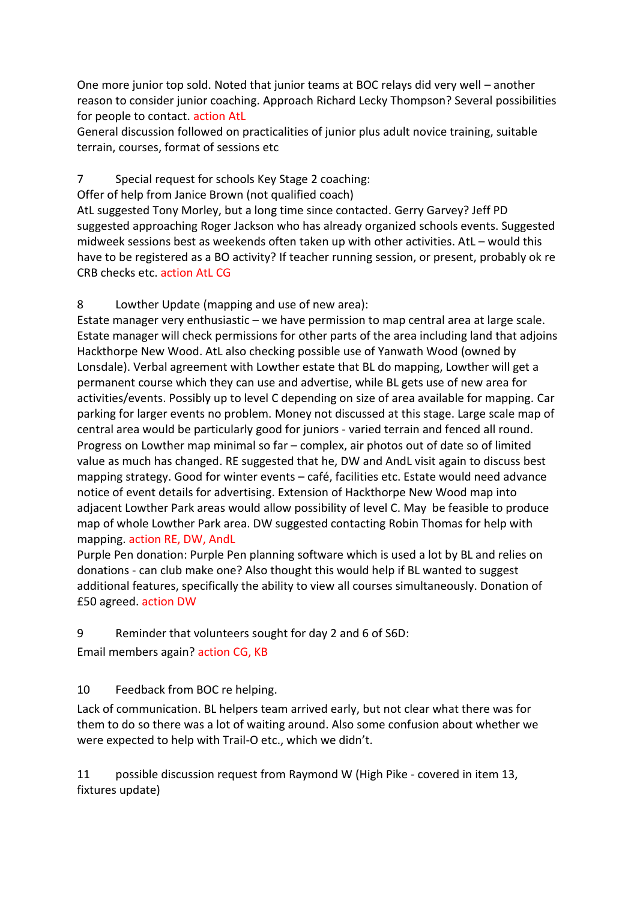One more junior top sold. Noted that junior teams at BOC relays did very well – another reason to consider junior coaching. Approach Richard Lecky Thompson? Several possibilities for people to contact. action AtL

General discussion followed on practicalities of junior plus adult novice training, suitable terrain, courses, format of sessions etc

# 7 Special request for schools Key Stage 2 coaching:

Offer of help from Janice Brown (not qualified coach)

AtL suggested Tony Morley, but a long time since contacted. Gerry Garvey? Jeff PD suggested approaching Roger Jackson who has already organized schools events. Suggested midweek sessions best as weekends often taken up with other activities. AtL – would this have to be registered as a BO activity? If teacher running session, or present, probably ok re CRB checks etc. action AtL CG

# 8 Lowther Update (mapping and use of new area):

Estate manager very enthusiastic – we have permission to map central area at large scale. Estate manager will check permissions for other parts of the area including land that adjoins Hackthorpe New Wood. AtL also checking possible use of Yanwath Wood (owned by Lonsdale). Verbal agreement with Lowther estate that BL do mapping, Lowther will get a permanent course which they can use and advertise, while BL gets use of new area for activities/events. Possibly up to level C depending on size of area available for mapping. Car parking for larger events no problem. Money not discussed at this stage. Large scale map of central area would be particularly good for juniors - varied terrain and fenced all round. Progress on Lowther map minimal so far – complex, air photos out of date so of limited value as much has changed. RE suggested that he, DW and AndL visit again to discuss best mapping strategy. Good for winter events – café, facilities etc. Estate would need advance notice of event details for advertising. Extension of Hackthorpe New Wood map into adjacent Lowther Park areas would allow possibility of level C. May be feasible to produce map of whole Lowther Park area. DW suggested contacting Robin Thomas for help with mapping. action RE, DW, AndL

Purple Pen donation: Purple Pen planning software which is used a lot by BL and relies on donations - can club make one? Also thought this would help if BL wanted to suggest additional features, specifically the ability to view all courses simultaneously. Donation of £50 agreed. action DW

# 9 Reminder that volunteers sought for day 2 and 6 of S6D:

Email members again? action CG, KB

# 10 Feedback from BOC re helping.

Lack of communication. BL helpers team arrived early, but not clear what there was for them to do so there was a lot of waiting around. Also some confusion about whether we were expected to help with Trail-O etc., which we didn't.

11 possible discussion request from Raymond W (High Pike - covered in item 13, fixtures update)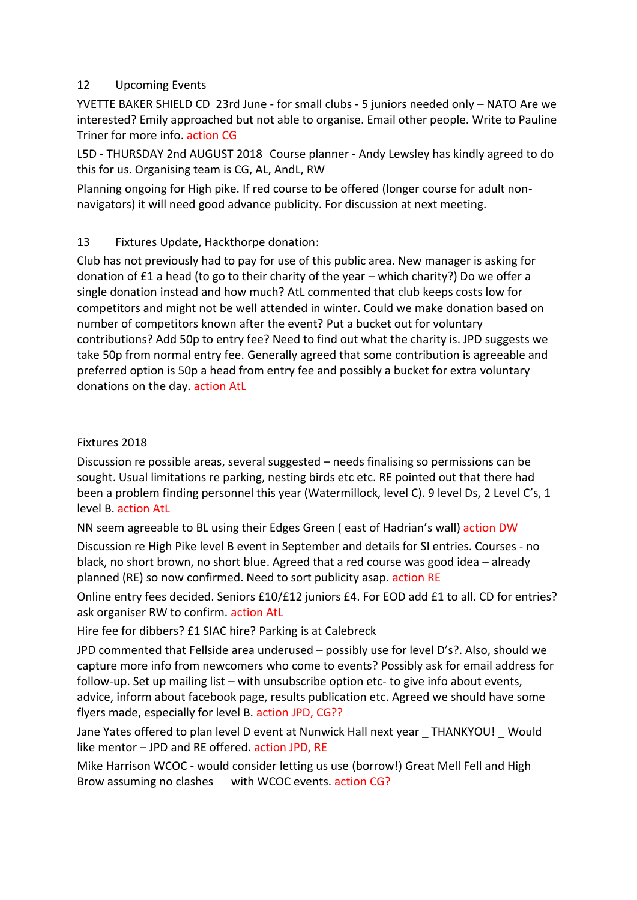# 12 Upcoming Events

YVETTE BAKER SHIELD CD 23rd June - for small clubs - 5 juniors needed only – NATO Are we interested? Emily approached but not able to organise. Email other people. Write to Pauline Triner for more info. action CG

L5D - THURSDAY 2nd AUGUST 2018 Course planner - Andy Lewsley has kindly agreed to do this for us. Organising team is CG, AL, AndL, RW

Planning ongoing for High pike. If red course to be offered (longer course for adult nonnavigators) it will need good advance publicity. For discussion at next meeting.

# 13 Fixtures Update, Hackthorpe donation:

Club has not previously had to pay for use of this public area. New manager is asking for donation of £1 a head (to go to their charity of the year – which charity?) Do we offer a single donation instead and how much? AtL commented that club keeps costs low for competitors and might not be well attended in winter. Could we make donation based on number of competitors known after the event? Put a bucket out for voluntary contributions? Add 50p to entry fee? Need to find out what the charity is. JPD suggests we take 50p from normal entry fee. Generally agreed that some contribution is agreeable and preferred option is 50p a head from entry fee and possibly a bucket for extra voluntary donations on the day. action AtL

# Fixtures 2018

Discussion re possible areas, several suggested – needs finalising so permissions can be sought. Usual limitations re parking, nesting birds etc etc. RE pointed out that there had been a problem finding personnel this year (Watermillock, level C). 9 level Ds, 2 Level C's, 1 level B. action AtL

NN seem agreeable to BL using their Edges Green ( east of Hadrian's wall) action DW

Discussion re High Pike level B event in September and details for SI entries. Courses - no black, no short brown, no short blue. Agreed that a red course was good idea – already planned (RE) so now confirmed. Need to sort publicity asap. action RE

Online entry fees decided. Seniors £10/£12 juniors £4. For EOD add £1 to all. CD for entries? ask organiser RW to confirm. action AtL

Hire fee for dibbers? £1 SIAC hire? Parking is at Calebreck

JPD commented that Fellside area underused – possibly use for level D's?. Also, should we capture more info from newcomers who come to events? Possibly ask for email address for follow-up. Set up mailing list – with unsubscribe option etc- to give info about events, advice, inform about facebook page, results publication etc. Agreed we should have some flyers made, especially for level B. action JPD, CG??

Jane Yates offered to plan level D event at Nunwick Hall next year \_ THANKYOU! \_ Would like mentor – JPD and RE offered. action JPD, RE

Mike Harrison WCOC - would consider letting us use (borrow!) Great Mell Fell and High Brow assuming no clashes with WCOC events. action CG?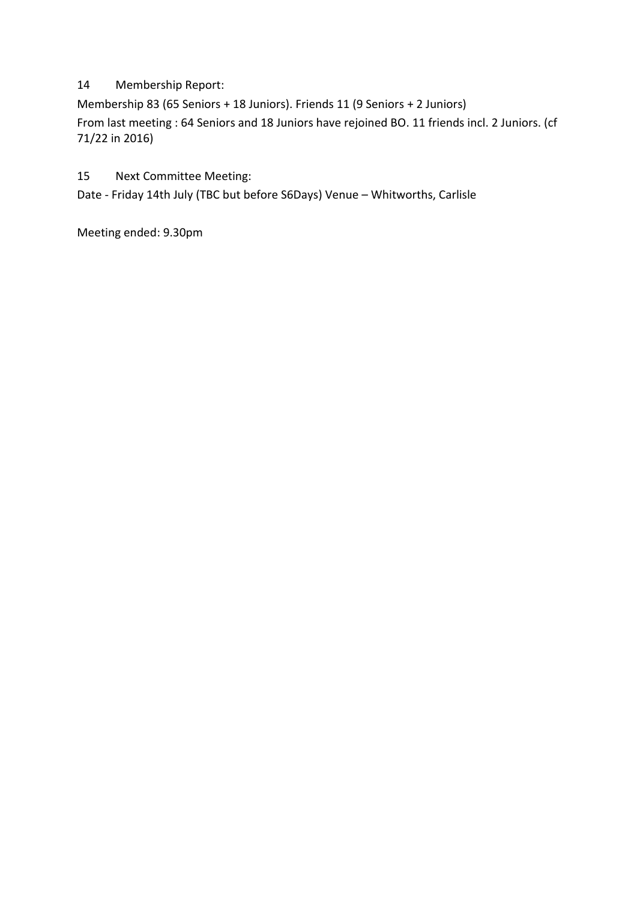# 14 Membership Report:

Membership 83 (65 Seniors + 18 Juniors). Friends 11 (9 Seniors + 2 Juniors) From last meeting : 64 Seniors and 18 Juniors have rejoined BO. 11 friends incl. 2 Juniors. (cf 71/22 in 2016)

15 Next Committee Meeting:

Date - Friday 14th July (TBC but before S6Days) Venue – Whitworths, Carlisle

Meeting ended: 9.30pm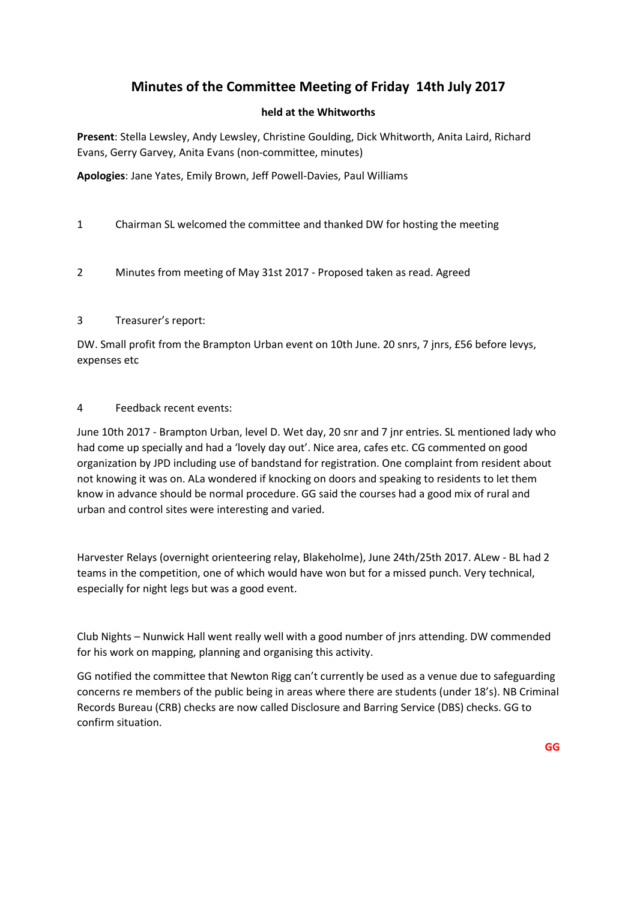# **Minutes of the Committee Meeting of Friday 14th July 2017**

## **held at the Whitworths**

**Present**: Stella Lewsley, Andy Lewsley, Christine Goulding, Dick Whitworth, Anita Laird, Richard Evans, Gerry Garvey, Anita Evans (non-committee, minutes)

**Apologies**: Jane Yates, Emily Brown, Jeff Powell-Davies, Paul Williams

- 1 Chairman SL welcomed the committee and thanked DW for hosting the meeting
- 2 Minutes from meeting of May 31st 2017 Proposed taken as read. Agreed

## 3 Treasurer's report:

DW. Small profit from the Brampton Urban event on 10th June. 20 snrs, 7 jnrs, £56 before levys, expenses etc

## 4 Feedback recent events:

June 10th 2017 - Brampton Urban, level D. Wet day, 20 snr and 7 jnr entries. SL mentioned lady who had come up specially and had a 'lovely day out'. Nice area, cafes etc. CG commented on good organization by JPD including use of bandstand for registration. One complaint from resident about not knowing it was on. ALa wondered if knocking on doors and speaking to residents to let them know in advance should be normal procedure. GG said the courses had a good mix of rural and urban and control sites were interesting and varied.

Harvester Relays (overnight orienteering relay, Blakeholme), June 24th/25th 2017. ALew - BL had 2 teams in the competition, one of which would have won but for a missed punch. Very technical, especially for night legs but was a good event.

Club Nights – Nunwick Hall went really well with a good number of jnrs attending. DW commended for his work on mapping, planning and organising this activity.

GG notified the committee that Newton Rigg can't currently be used as a venue due to safeguarding concerns re members of the public being in areas where there are students (under 18's). NB Criminal Records Bureau (CRB) checks are now called Disclosure and Barring Service (DBS) checks. GG to confirm situation.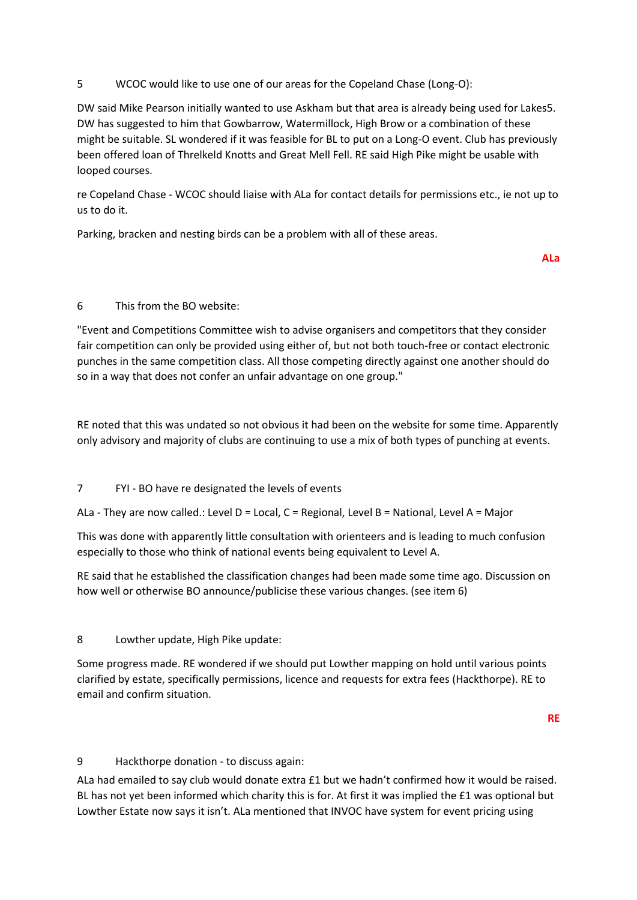## 5 WCOC would like to use one of our areas for the Copeland Chase (Long-O):

DW said Mike Pearson initially wanted to use Askham but that area is already being used for Lakes5. DW has suggested to him that Gowbarrow, Watermillock, High Brow or a combination of these might be suitable. SL wondered if it was feasible for BL to put on a Long-O event. Club has previously been offered loan of Threlkeld Knotts and Great Mell Fell. RE said High Pike might be usable with looped courses.

re Copeland Chase - WCOC should liaise with ALa for contact details for permissions etc., ie not up to us to do it.

Parking, bracken and nesting birds can be a problem with all of these areas.

**ALa**

## 6 This from the BO website:

"Event and Competitions Committee wish to advise organisers and competitors that they consider fair competition can only be provided using either of, but not both touch-free or contact electronic punches in the same competition class. All those competing directly against one another should do so in a way that does not confer an unfair advantage on one group."

RE noted that this was undated so not obvious it had been on the website for some time. Apparently only advisory and majority of clubs are continuing to use a mix of both types of punching at events.

## 7 FYI - BO have re designated the levels of events

ALa - They are now called.: Level D = Local, C = Regional, Level B = National, Level A = Major

This was done with apparently little consultation with orienteers and is leading to much confusion especially to those who think of national events being equivalent to Level A.

RE said that he established the classification changes had been made some time ago. Discussion on how well or otherwise BO announce/publicise these various changes. (see item 6)

## 8 Lowther update, High Pike update:

Some progress made. RE wondered if we should put Lowther mapping on hold until various points clarified by estate, specifically permissions, licence and requests for extra fees (Hackthorpe). RE to email and confirm situation.

**RE**

## 9 Hackthorpe donation - to discuss again:

ALa had emailed to say club would donate extra £1 but we hadn't confirmed how it would be raised. BL has not yet been informed which charity this is for. At first it was implied the £1 was optional but Lowther Estate now says it isn't. ALa mentioned that INVOC have system for event pricing using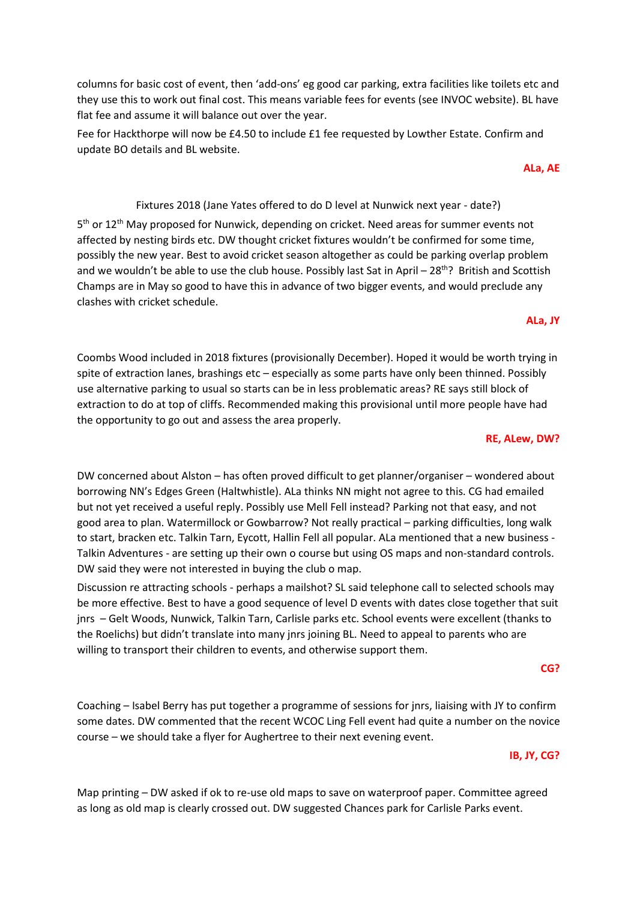columns for basic cost of event, then 'add-ons' eg good car parking, extra facilities like toilets etc and they use this to work out final cost. This means variable fees for events (see INVOC website). BL have flat fee and assume it will balance out over the year.

Fee for Hackthorpe will now be £4.50 to include £1 fee requested by Lowther Estate. Confirm and update BO details and BL website.

**ALa, AE**

#### Fixtures 2018 (Jane Yates offered to do D level at Nunwick next year - date?)

5<sup>th</sup> or 12<sup>th</sup> May proposed for Nunwick, depending on cricket. Need areas for summer events not affected by nesting birds etc. DW thought cricket fixtures wouldn't be confirmed for some time, possibly the new year. Best to avoid cricket season altogether as could be parking overlap problem and we wouldn't be able to use the club house. Possibly last Sat in April - 28<sup>th</sup>? British and Scottish Champs are in May so good to have this in advance of two bigger events, and would preclude any clashes with cricket schedule.

# **ALa, JY**

Coombs Wood included in 2018 fixtures (provisionally December). Hoped it would be worth trying in spite of extraction lanes, brashings etc – especially as some parts have only been thinned. Possibly use alternative parking to usual so starts can be in less problematic areas? RE says still block of extraction to do at top of cliffs. Recommended making this provisional until more people have had the opportunity to go out and assess the area properly.

#### **RE, ALew, DW?**

DW concerned about Alston – has often proved difficult to get planner/organiser – wondered about borrowing NN's Edges Green (Haltwhistle). ALa thinks NN might not agree to this. CG had emailed but not yet received a useful reply. Possibly use Mell Fell instead? Parking not that easy, and not good area to plan. Watermillock or Gowbarrow? Not really practical – parking difficulties, long walk to start, bracken etc. Talkin Tarn, Eycott, Hallin Fell all popular. ALa mentioned that a new business - Talkin Adventures - are setting up their own o course but using OS maps and non-standard controls. DW said they were not interested in buying the club o map.

Discussion re attracting schools - perhaps a mailshot? SL said telephone call to selected schools may be more effective. Best to have a good sequence of level D events with dates close together that suit jnrs – Gelt Woods, Nunwick, Talkin Tarn, Carlisle parks etc. School events were excellent (thanks to the Roelichs) but didn't translate into many jnrs joining BL. Need to appeal to parents who are willing to transport their children to events, and otherwise support them.

#### **CG?**

Coaching – Isabel Berry has put together a programme of sessions for jnrs, liaising with JY to confirm some dates. DW commented that the recent WCOC Ling Fell event had quite a number on the novice course – we should take a flyer for Aughertree to their next evening event.

#### **IB, JY, CG?**

Map printing – DW asked if ok to re-use old maps to save on waterproof paper. Committee agreed as long as old map is clearly crossed out. DW suggested Chances park for Carlisle Parks event.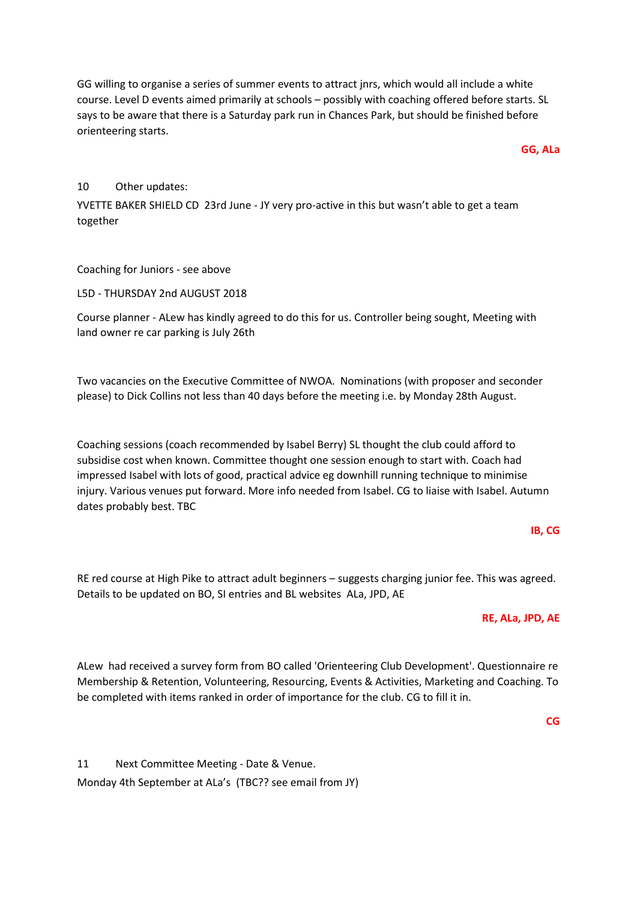GG willing to organise a series of summer events to attract jnrs, which would all include a white course. Level D events aimed primarily at schools – possibly with coaching offered before starts. SL says to be aware that there is a Saturday park run in Chances Park, but should be finished before orienteering starts.

**GG, ALa**

#### 10 Other updates:

YVETTE BAKER SHIELD CD 23rd June - JY very pro-active in this but wasn't able to get a team together

#### Coaching for Juniors - see above

L5D - THURSDAY 2nd AUGUST 2018

Course planner - ALew has kindly agreed to do this for us. Controller being sought, Meeting with land owner re car parking is July 26th

Two vacancies on the Executive Committee of NWOA. Nominations (with proposer and seconder please) to Dick Collins not less than 40 days before the meeting i.e. by Monday 28th August.

Coaching sessions (coach recommended by Isabel Berry) SL thought the club could afford to subsidise cost when known. Committee thought one session enough to start with. Coach had impressed Isabel with lots of good, practical advice eg downhill running technique to minimise injury. Various venues put forward. More info needed from Isabel. CG to liaise with Isabel. Autumn dates probably best. TBC

#### **IB, CG**

RE red course at High Pike to attract adult beginners – suggests charging junior fee. This was agreed. Details to be updated on BO, SI entries and BL websites ALa, JPD, AE

#### **RE, ALa, JPD, AE**

ALew had received a survey form from BO called 'Orienteering Club Development'. Questionnaire re Membership & Retention, Volunteering, Resourcing, Events & Activities, Marketing and Coaching. To be completed with items ranked in order of importance for the club. CG to fill it in.

**CG**

11 Next Committee Meeting - Date & Venue. Monday 4th September at ALa's (TBC?? see email from JY)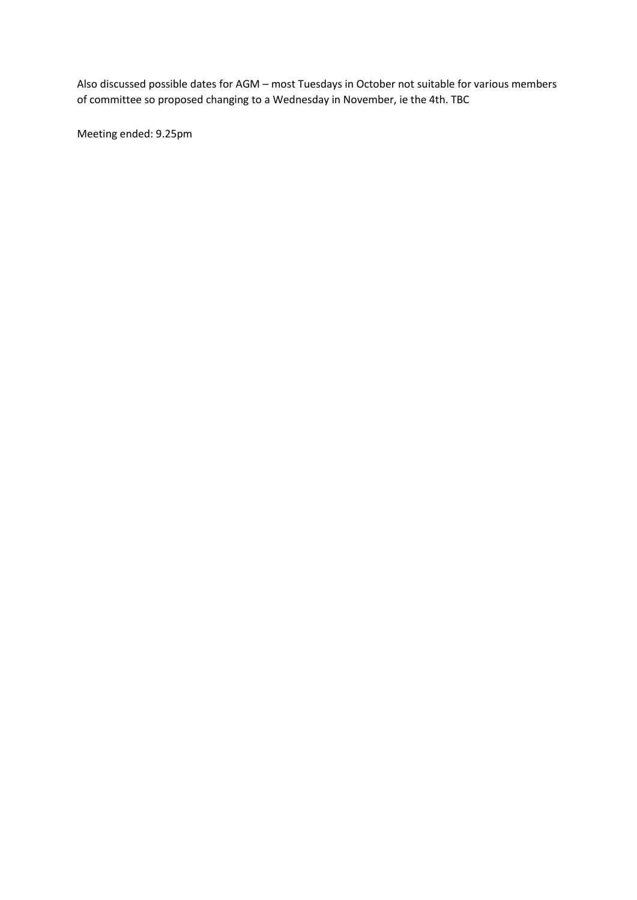Also discussed possible dates for AGM – most Tuesdays in October not suitable for various members of committee so proposed changing to a Wednesday in November, ie the 4th. TBC

Meeting ended: 9.25pm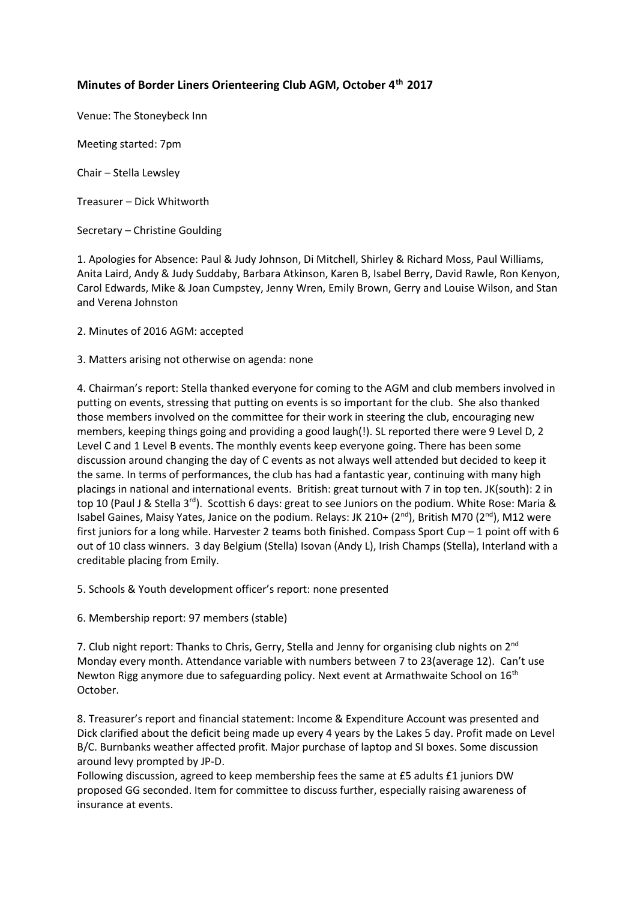# **Minutes of Border Liners Orienteering Club AGM, October 4th 2017**

Venue: The Stoneybeck Inn

Meeting started: 7pm

Chair – Stella Lewsley

Treasurer – Dick Whitworth

Secretary – Christine Goulding

1. Apologies for Absence: Paul & Judy Johnson, Di Mitchell, Shirley & Richard Moss, Paul Williams, Anita Laird, Andy & Judy Suddaby, Barbara Atkinson, Karen B, Isabel Berry, David Rawle, Ron Kenyon, Carol Edwards, Mike & Joan Cumpstey, Jenny Wren, Emily Brown, Gerry and Louise Wilson, and Stan and Verena Johnston

2. Minutes of 2016 AGM: accepted

3. Matters arising not otherwise on agenda: none

4. Chairman's report: Stella thanked everyone for coming to the AGM and club members involved in putting on events, stressing that putting on events is so important for the club. She also thanked those members involved on the committee for their work in steering the club, encouraging new members, keeping things going and providing a good laugh(!). SL reported there were 9 Level D, 2 Level C and 1 Level B events. The monthly events keep everyone going. There has been some discussion around changing the day of C events as not always well attended but decided to keep it the same. In terms of performances, the club has had a fantastic year, continuing with many high placings in national and international events. British: great turnout with 7 in top ten. JK(south): 2 in top 10 (Paul J & Stella 3rd). Scottish 6 days: great to see Juniors on the podium. White Rose: Maria & Isabel Gaines, Maisy Yates, Janice on the podium. Relays: JK 210+ (2<sup>nd</sup>), British M70 (2<sup>nd</sup>), M12 were first juniors for a long while. Harvester 2 teams both finished. Compass Sport Cup – 1 point off with 6 out of 10 class winners. 3 day Belgium (Stella) Isovan (Andy L), Irish Champs (Stella), Interland with a creditable placing from Emily.

5. Schools & Youth development officer's report: none presented

6. Membership report: 97 members (stable)

7. Club night report: Thanks to Chris, Gerry, Stella and Jenny for organising club nights on 2<sup>nd</sup> Monday every month. Attendance variable with numbers between 7 to 23(average 12). Can't use Newton Rigg anymore due to safeguarding policy. Next event at Armathwaite School on 16<sup>th</sup> October.

8. Treasurer's report and financial statement: Income & Expenditure Account was presented and Dick clarified about the deficit being made up every 4 years by the Lakes 5 day. Profit made on Level B/C. Burnbanks weather affected profit. Major purchase of laptop and SI boxes. Some discussion around levy prompted by JP-D.

Following discussion, agreed to keep membership fees the same at £5 adults £1 juniors DW proposed GG seconded. Item for committee to discuss further, especially raising awareness of insurance at events.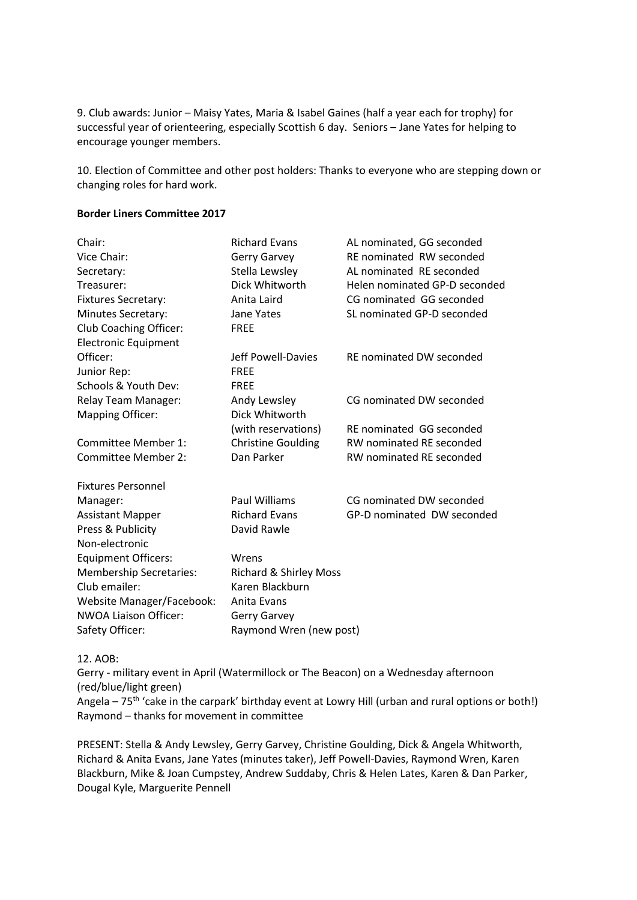9. Club awards: Junior – Maisy Yates, Maria & Isabel Gaines (half a year each for trophy) for successful year of orienteering, especially Scottish 6 day. Seniors – Jane Yates for helping to encourage younger members.

10. Election of Committee and other post holders: Thanks to everyone who are stepping down or changing roles for hard work.

#### **Border Liners Committee 2017**

| Chair:                           | <b>Richard Evans</b>              | AL nominated, GG seconded       |
|----------------------------------|-----------------------------------|---------------------------------|
| Vice Chair:                      | <b>Gerry Garvey</b>               | RE nominated RW seconded        |
| Secretary:                       | Stella Lewsley                    | AL nominated RE seconded        |
| Treasurer:                       | Dick Whitworth                    | Helen nominated GP-D seconded   |
| <b>Fixtures Secretary:</b>       | Anita Laird                       | CG nominated GG seconded        |
| <b>Minutes Secretary:</b>        | Jane Yates                        | SL nominated GP-D seconded      |
| Club Coaching Officer:           | <b>FREE</b>                       |                                 |
| <b>Electronic Equipment</b>      |                                   |                                 |
| Officer:                         | Jeff Powell-Davies                | <b>RE</b> nominated DW seconded |
| Junior Rep:                      | <b>FRFF</b>                       |                                 |
| Schools & Youth Dev:             | <b>FREE</b>                       |                                 |
| Relay Team Manager:              | Andy Lewsley                      | CG nominated DW seconded        |
| <b>Mapping Officer:</b>          | Dick Whitworth                    |                                 |
|                                  | (with reservations)               | RE nominated GG seconded        |
| Committee Member 1:              | <b>Christine Goulding</b>         | <b>RW nominated RE seconded</b> |
| Committee Member 2:              | Dan Parker                        | <b>RW nominated RE seconded</b> |
| <b>Fixtures Personnel</b>        |                                   |                                 |
| Manager:                         | Paul Williams                     | CG nominated DW seconded        |
| <b>Assistant Mapper</b>          | <b>Richard Evans</b>              | GP-D nominated DW seconded      |
| Press & Publicity                | David Rawle                       |                                 |
| Non-electronic                   |                                   |                                 |
| <b>Equipment Officers:</b>       | Wrens                             |                                 |
| <b>Membership Secretaries:</b>   | <b>Richard &amp; Shirley Moss</b> |                                 |
| Club emailer:                    | Karen Blackburn                   |                                 |
| <b>Website Manager/Facebook:</b> | Anita Evans                       |                                 |
| <b>NWOA Liaison Officer:</b>     | <b>Gerry Garvey</b>               |                                 |
| Safety Officer:                  | Raymond Wren (new post)           |                                 |
|                                  |                                   |                                 |

12. AOB:

Gerry - military event in April (Watermillock or The Beacon) on a Wednesday afternoon (red/blue/light green)

Angela –  $75<sup>th</sup>$  'cake in the carpark' birthday event at Lowry Hill (urban and rural options or both!) Raymond – thanks for movement in committee

PRESENT: Stella & Andy Lewsley, Gerry Garvey, Christine Goulding, Dick & Angela Whitworth, Richard & Anita Evans, Jane Yates (minutes taker), Jeff Powell-Davies, Raymond Wren, Karen Blackburn, Mike & Joan Cumpstey, Andrew Suddaby, Chris & Helen Lates, Karen & Dan Parker, Dougal Kyle, Marguerite Pennell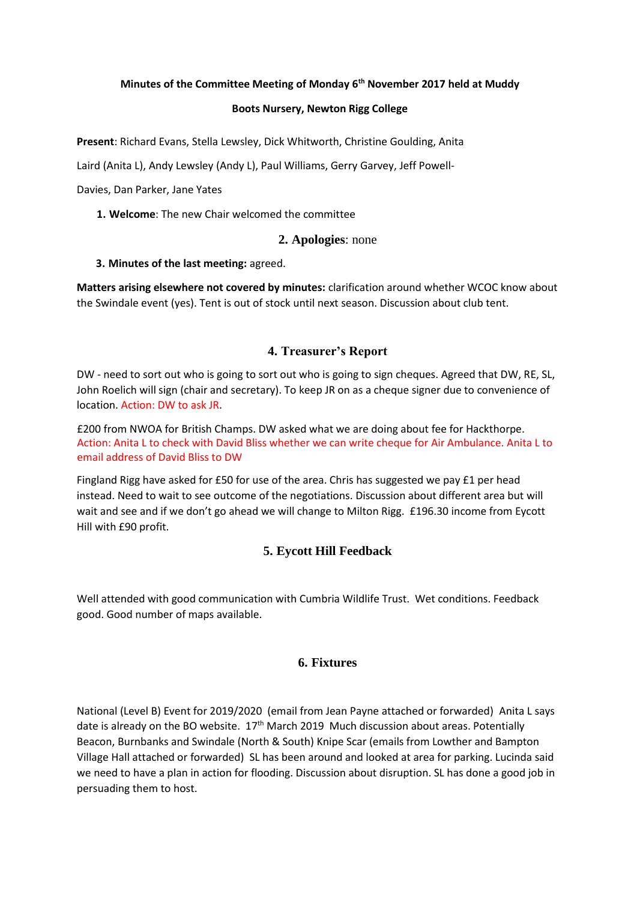#### **Minutes of the Committee Meeting of Monday 6th November 2017 held at Muddy**

#### **Boots Nursery, Newton Rigg College**

**Present**: Richard Evans, Stella Lewsley, Dick Whitworth, Christine Goulding, Anita

Laird (Anita L), Andy Lewsley (Andy L), Paul Williams, Gerry Garvey, Jeff Powell-

Davies, Dan Parker, Jane Yates

**1. Welcome**: The new Chair welcomed the committee

#### **2. Apologies**: none

#### **3. Minutes of the last meeting:** agreed.

**Matters arising elsewhere not covered by minutes:** clarification around whether WCOC know about the Swindale event (yes). Tent is out of stock until next season. Discussion about club tent.

#### **4. Treasurer's Report**

DW - need to sort out who is going to sort out who is going to sign cheques. Agreed that DW, RE, SL, John Roelich will sign (chair and secretary). To keep JR on as a cheque signer due to convenience of location. Action: DW to ask JR.

£200 from NWOA for British Champs. DW asked what we are doing about fee for Hackthorpe. Action: Anita L to check with David Bliss whether we can write cheque for Air Ambulance. Anita L to email address of David Bliss to DW

Fingland Rigg have asked for £50 for use of the area. Chris has suggested we pay £1 per head instead. Need to wait to see outcome of the negotiations. Discussion about different area but will wait and see and if we don't go ahead we will change to Milton Rigg. £196.30 income from Eycott Hill with £90 profit.

## **5. Eycott Hill Feedback**

Well attended with good communication with Cumbria Wildlife Trust. Wet conditions. Feedback good. Good number of maps available.

#### **6. Fixtures**

National (Level B) Event for 2019/2020 (email from Jean Payne attached or forwarded)Anita L says date is already on the BO website.  $17<sup>th</sup>$  March 2019 Much discussion about areas. Potentially Beacon, Burnbanks and Swindale (North & South) Knipe Scar (emails from Lowther and Bampton Village Hall attached or forwarded) SL has been around and looked at area for parking. Lucinda said we need to have a plan in action for flooding. Discussion about disruption. SL has done a good job in persuading them to host.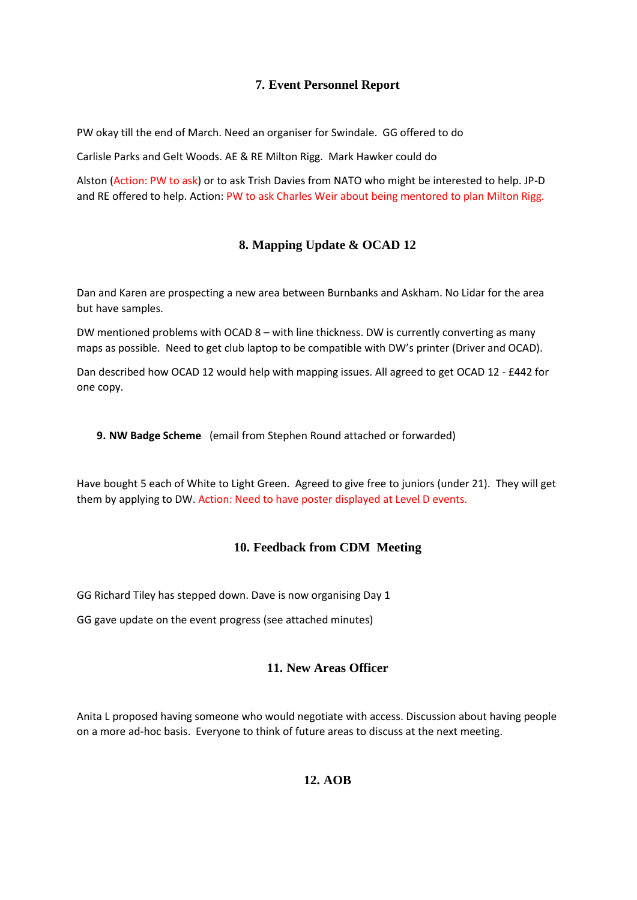# **7. Event Personnel Report**

PW okay till the end of March. Need an organiser for Swindale. GG offered to do

Carlisle Parks and Gelt Woods. AE & RE Milton Rigg. Mark Hawker could do

Alston (Action: PW to ask) or to ask Trish Davies from NATO who might be interested to help. JP-D and RE offered to help. Action: PW to ask Charles Weir about being mentored to plan Milton Rigg.

# **8. Mapping Update & OCAD 12**

Dan and Karen are prospecting a new area between Burnbanks and Askham. No Lidar for the area but have samples.

DW mentioned problems with OCAD 8 – with line thickness. DW is currently converting as many maps as possible. Need to get club laptop to be compatible with DW's printer (Driver and OCAD).

Dan described how OCAD 12 would help with mapping issues. All agreed to get OCAD 12 - £442 for one copy.

**9. NW Badge Scheme** (email from Stephen Round attached or forwarded)

Have bought 5 each of White to Light Green. Agreed to give free to juniors (under 21). They will get them by applying to DW. Action: Need to have poster displayed at Level D events.

# **10. Feedback from CDM Meeting**

GG Richard Tiley has stepped down. Dave is now organising Day 1

GG gave update on the event progress (see attached minutes)

# **11. New Areas Officer**

Anita L proposed having someone who would negotiate with access. Discussion about having people on a more ad-hoc basis. Everyone to think of future areas to discuss at the next meeting.

# **12. AOB**